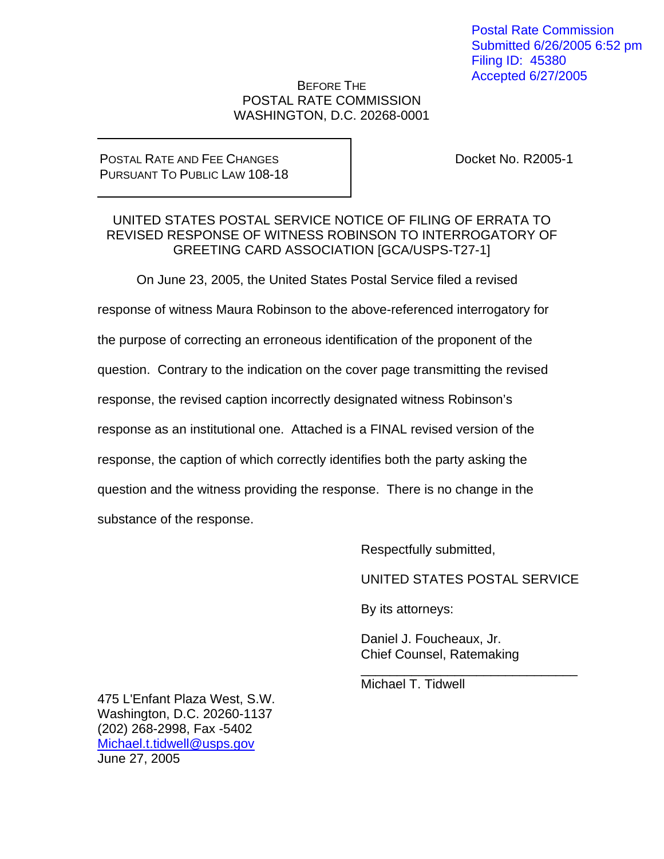Postal Rate Commission Submitted 6/26/2005 6:52 pm Filing ID: 45380 Accepted 6/27/2005

#### BEFORE THE POSTAL RATE COMMISSION WASHINGTON, D.C. 20268-0001

#### POSTAL RATE AND FEE CHANGES PURSUANT TO PUBLIC LAW 108-18

Docket No. R2005-1

#### UNITED STATES POSTAL SERVICE NOTICE OF FILING OF ERRATA TO REVISED RESPONSE OF WITNESS ROBINSON TO INTERROGATORY OF GREETING CARD ASSOCIATION [GCA/USPS-T27-1]

On June 23, 2005, the United States Postal Service filed a revised

response of witness Maura Robinson to the above-referenced interrogatory for

the purpose of correcting an erroneous identification of the proponent of the

question. Contrary to the indication on the cover page transmitting the revised

response, the revised caption incorrectly designated witness Robinson's

response as an institutional one. Attached is a FINAL revised version of the

response, the caption of which correctly identifies both the party asking the

question and the witness providing the response. There is no change in the

 $\frac{1}{\sqrt{2\pi}}$  ,  $\frac{1}{\sqrt{2\pi}}$  ,  $\frac{1}{\sqrt{2\pi}}$  ,  $\frac{1}{\sqrt{2\pi}}$  ,  $\frac{1}{\sqrt{2\pi}}$  ,  $\frac{1}{\sqrt{2\pi}}$  ,  $\frac{1}{\sqrt{2\pi}}$  ,  $\frac{1}{\sqrt{2\pi}}$  ,  $\frac{1}{\sqrt{2\pi}}$  ,  $\frac{1}{\sqrt{2\pi}}$  ,  $\frac{1}{\sqrt{2\pi}}$  ,  $\frac{1}{\sqrt{2\pi}}$  ,  $\frac{1}{\sqrt{2\pi}}$  ,

substance of the response.

Respectfully submitted,

UNITED STATES POSTAL SERVICE

By its attorneys:

 Daniel J. Foucheaux, Jr. Chief Counsel, Ratemaking

Michael T. Tidwell

475 L'Enfant Plaza West, S.W. Washington, D.C. 20260-1137 (202) 268-2998, Fax -5402 Michael.t.tidwell@usps.gov June 27, 2005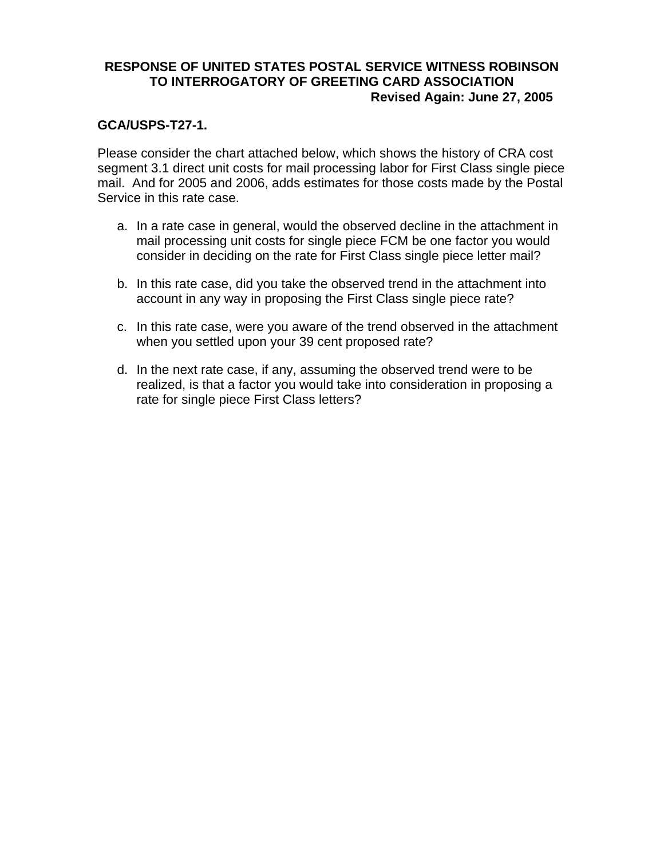### **RESPONSE OF UNITED STATES POSTAL SERVICE WITNESS ROBINSON TO INTERROGATORY OF GREETING CARD ASSOCIATION Revised Again: June 27, 2005**

### **GCA/USPS-T27-1.**

Please consider the chart attached below, which shows the history of CRA cost segment 3.1 direct unit costs for mail processing labor for First Class single piece mail. And for 2005 and 2006, adds estimates for those costs made by the Postal Service in this rate case.

- a. In a rate case in general, would the observed decline in the attachment in mail processing unit costs for single piece FCM be one factor you would consider in deciding on the rate for First Class single piece letter mail?
- b. In this rate case, did you take the observed trend in the attachment into account in any way in proposing the First Class single piece rate?
- c. In this rate case, were you aware of the trend observed in the attachment when you settled upon your 39 cent proposed rate?
- d. In the next rate case, if any, assuming the observed trend were to be realized, is that a factor you would take into consideration in proposing a rate for single piece First Class letters?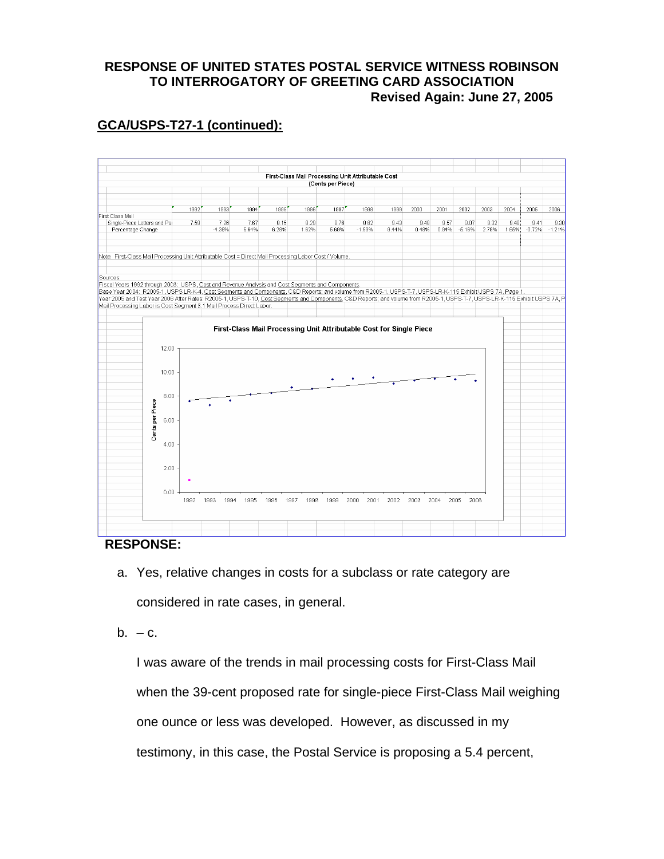## **RESPONSE OF UNITED STATES POSTAL SERVICE WITNESS ROBINSON TO INTERROGATORY OF GREETING CARD ASSOCIATION Revised Again: June 27, 2005**

# **GCA/USPS-T27-1 (continued):**



### **RESPONSE:**

- a. Yes, relative changes in costs for a subclass or rate category are considered in rate cases, in general.
- $b. -c.$

I was aware of the trends in mail processing costs for First-Class Mail when the 39-cent proposed rate for single-piece First-Class Mail weighing one ounce or less was developed. However, as discussed in my testimony, in this case, the Postal Service is proposing a 5.4 percent,